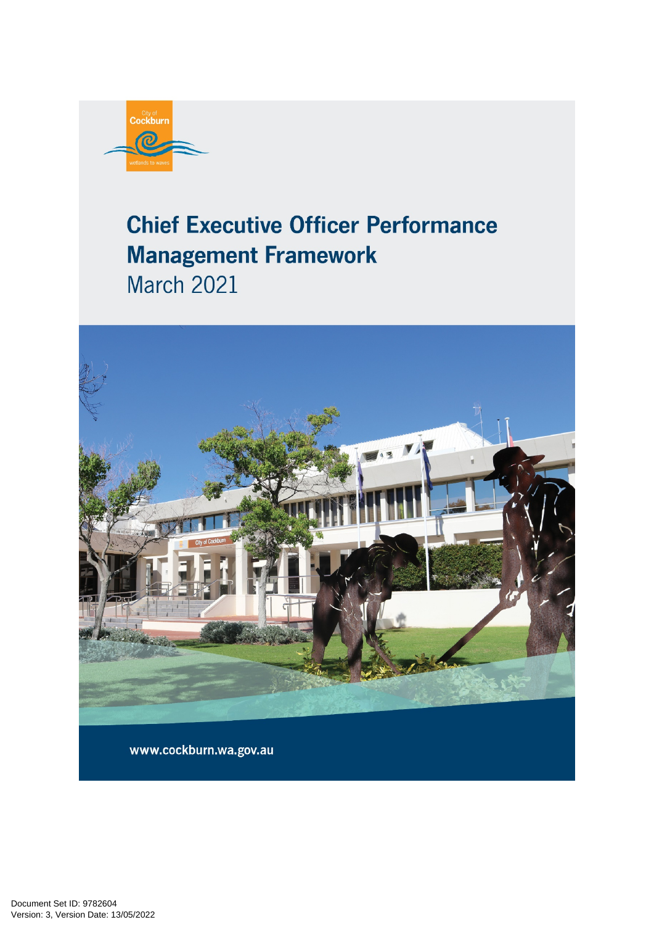

# **Chief Executive Officer Performance Management Framework March 2021**



www.cockburn.wa.gov.au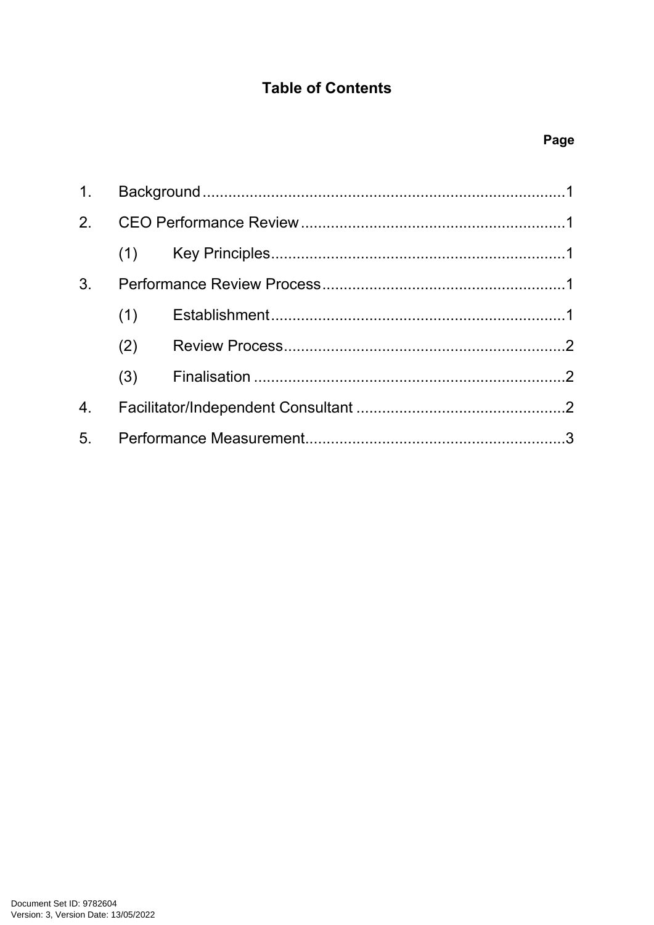## **Table of Contents**

| 1.             |     |  |  |
|----------------|-----|--|--|
|                |     |  |  |
|                |     |  |  |
| 3 <sub>1</sub> |     |  |  |
|                | (1) |  |  |
|                | (2) |  |  |
|                |     |  |  |
| 4.             |     |  |  |
| 5 <sub>1</sub> |     |  |  |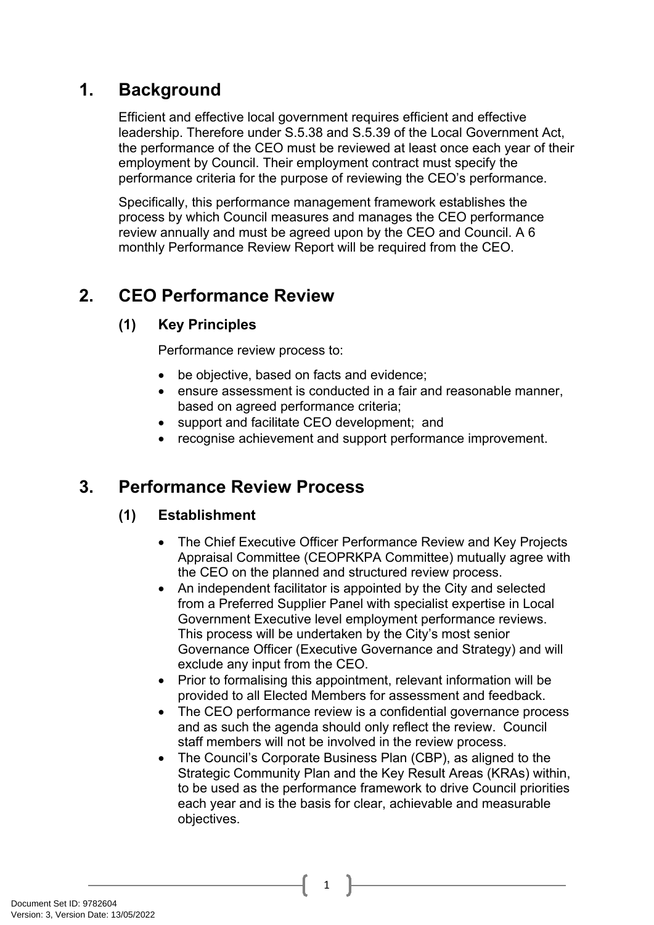## <span id="page-2-0"></span>**1. Background**

Efficient and effective local government requires efficient and effective leadership. Therefore under S.5.38 and S.5.39 of the Local Government Act, the performance of the CEO must be reviewed at least once each year of their employment by Council. Their employment contract must specify the performance criteria for the purpose of reviewing the CEO's performance.

Specifically, this performance management framework establishes the process by which Council measures and manages the CEO performance review annually and must be agreed upon by the CEO and Council. A 6 monthly Performance Review Report will be required from the CEO.

# <span id="page-2-1"></span>**2. CEO Performance Review**

## <span id="page-2-2"></span>**(1) Key Principles**

Performance review process to:

- be objective, based on facts and evidence;
- ensure assessment is conducted in a fair and reasonable manner, based on agreed performance criteria;
- support and facilitate CEO development; and
- recognise achievement and support performance improvement.

## <span id="page-2-3"></span>**3. Performance Review Process**

## <span id="page-2-4"></span>**(1) Establishment**

- The Chief Executive Officer Performance Review and Key Projects Appraisal Committee (CEOPRKPA Committee) mutually agree with the CEO on the planned and structured review process.
- An independent facilitator is appointed by the City and selected from a Preferred Supplier Panel with specialist expertise in Local Government Executive level employment performance reviews. This process will be undertaken by the City's most senior Governance Officer (Executive Governance and Strategy) and will exclude any input from the CEO.
- Prior to formalising this appointment, relevant information will be provided to all Elected Members for assessment and feedback.
- The CEO performance review is a confidential governance process and as such the agenda should only reflect the review. Council staff members will not be involved in the review process.
- The Council's Corporate Business Plan (CBP), as aligned to the Strategic Community Plan and the Key Result Areas (KRAs) within, to be used as the performance framework to drive Council priorities each year and is the basis for clear, achievable and measurable objectives.

1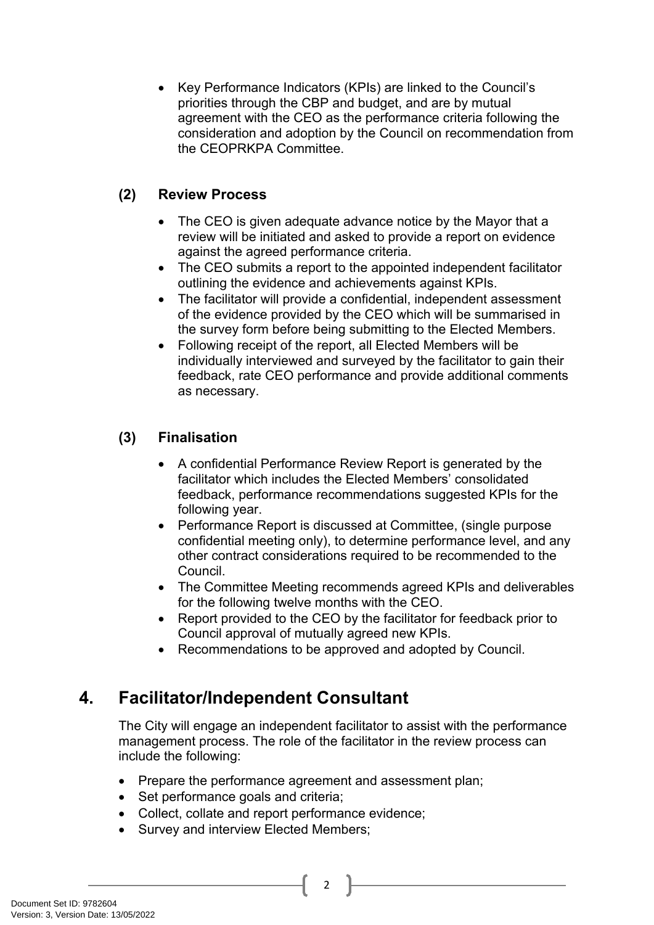• Key Performance Indicators (KPIs) are linked to the Council's priorities through the CBP and budget, and are by mutual agreement with the CEO as the performance criteria following the consideration and adoption by the Council on recommendation from the CEOPRKPA Committee.

#### <span id="page-3-0"></span>**(2) Review Process**

- The CEO is given adequate advance notice by the Mayor that a review will be initiated and asked to provide a report on evidence against the agreed performance criteria.
- The CEO submits a report to the appointed independent facilitator outlining the evidence and achievements against KPIs.
- The facilitator will provide a confidential, independent assessment of the evidence provided by the CEO which will be summarised in the survey form before being submitting to the Elected Members.
- Following receipt of the report, all Elected Members will be individually interviewed and surveyed by the facilitator to gain their feedback, rate CEO performance and provide additional comments as necessary.

#### <span id="page-3-1"></span>**(3) Finalisation**

- A confidential Performance Review Report is generated by the facilitator which includes the Elected Members' consolidated feedback, performance recommendations suggested KPIs for the following year.
- Performance Report is discussed at Committee, (single purpose confidential meeting only), to determine performance level, and any other contract considerations required to be recommended to the Council.
- The Committee Meeting recommends agreed KPIs and deliverables for the following twelve months with the CEO.
- Report provided to the CEO by the facilitator for feedback prior to Council approval of mutually agreed new KPIs.
- Recommendations to be approved and adopted by Council.

## <span id="page-3-2"></span>**4. Facilitator/Independent Consultant**

The City will engage an independent facilitator to assist with the performance management process. The role of the facilitator in the review process can include the following:

• Prepare the performance agreement and assessment plan;

2

- Set performance goals and criteria;
- Collect, collate and report performance evidence;
- Survey and interview Elected Members;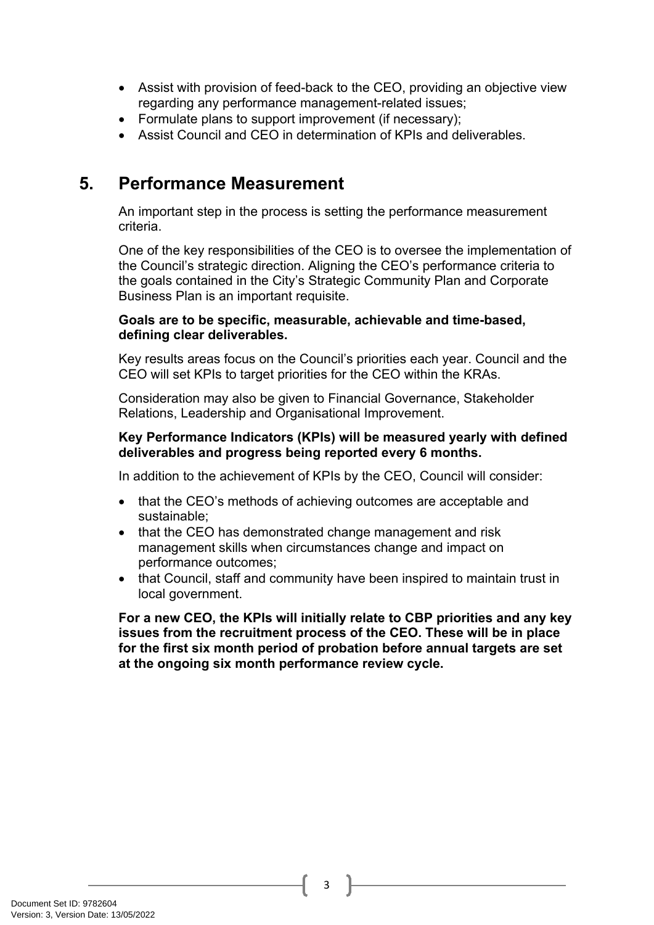- Assist with provision of feed-back to the CEO, providing an objective view regarding any performance management-related issues;
- Formulate plans to support improvement (if necessary);
- Assist Council and CEO in determination of KPIs and deliverables.

## <span id="page-4-0"></span>**5. Performance Measurement**

An important step in the process is setting the performance measurement criteria.

One of the key responsibilities of the CEO is to oversee the implementation of the Council's strategic direction. Aligning the CEO's performance criteria to the goals contained in the City's Strategic Community Plan and Corporate Business Plan is an important requisite.

#### **Goals are to be specific, measurable, achievable and time-based, defining clear deliverables.**

Key results areas focus on the Council's priorities each year. Council and the CEO will set KPIs to target priorities for the CEO within the KRAs.

Consideration may also be given to Financial Governance, Stakeholder Relations, Leadership and Organisational Improvement.

#### **Key Performance Indicators (KPIs) will be measured yearly with defined deliverables and progress being reported every 6 months.**

In addition to the achievement of KPIs by the CEO, Council will consider:

- that the CEO's methods of achieving outcomes are acceptable and sustainable;
- that the CEO has demonstrated change management and risk management skills when circumstances change and impact on performance outcomes;
- that Council, staff and community have been inspired to maintain trust in local government.

**For a new CEO, the KPIs will initially relate to CBP priorities and any key issues from the recruitment process of the CEO. These will be in place for the first six month period of probation before annual targets are set at the ongoing six month performance review cycle.**